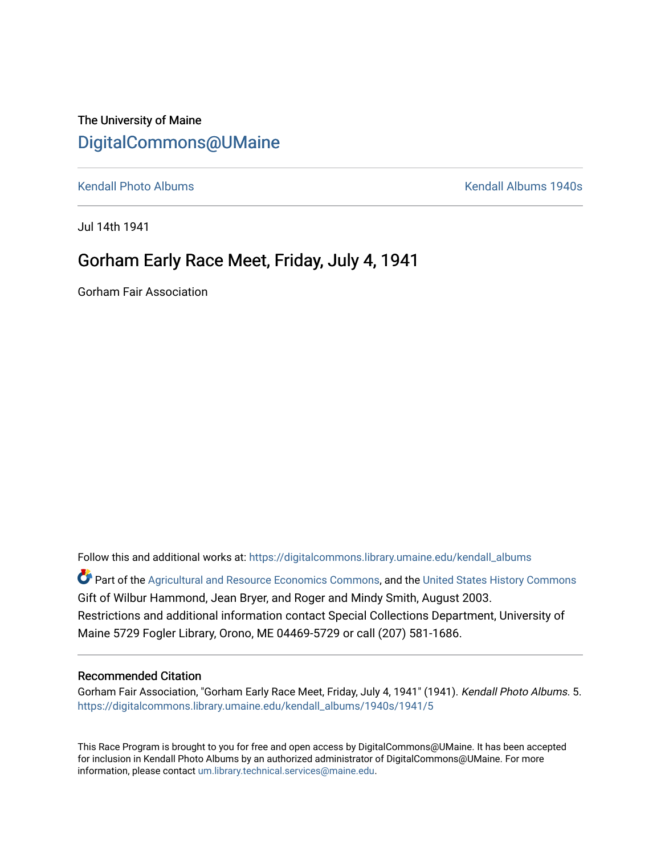## The University of Maine [DigitalCommons@UMaine](https://digitalcommons.library.umaine.edu/)

[Kendall Photo Albums](https://digitalcommons.library.umaine.edu/kendall_albums) [Kendall Albums 1940s](https://digitalcommons.library.umaine.edu/kendall_albums/1940s) 

Jul 14th 1941

# Gorham Early Race Meet, Friday, July 4, 1941

Gorham Fair Association

Follow this and additional works at: [https://digitalcommons.library.umaine.edu/kendall\\_albums](https://digitalcommons.library.umaine.edu/kendall_albums?utm_source=digitalcommons.library.umaine.edu%2Fkendall_albums%2F1940s%2F1941%2F5&utm_medium=PDF&utm_campaign=PDFCoverPages)  Part of the [Agricultural and Resource Economics Commons,](http://network.bepress.com/hgg/discipline/317?utm_source=digitalcommons.library.umaine.edu%2Fkendall_albums%2F1940s%2F1941%2F5&utm_medium=PDF&utm_campaign=PDFCoverPages) and the [United States History Commons](http://network.bepress.com/hgg/discipline/495?utm_source=digitalcommons.library.umaine.edu%2Fkendall_albums%2F1940s%2F1941%2F5&utm_medium=PDF&utm_campaign=PDFCoverPages) Gift of Wilbur Hammond, Jean Bryer, and Roger and Mindy Smith, August 2003. Restrictions and additional information contact Special Collections Department, University of Maine 5729 Fogler Library, Orono, ME 04469-5729 or call (207) 581-1686.

#### Recommended Citation

Gorham Fair Association, "Gorham Early Race Meet, Friday, July 4, 1941" (1941). Kendall Photo Albums. 5. [https://digitalcommons.library.umaine.edu/kendall\\_albums/1940s/1941/5](https://digitalcommons.library.umaine.edu/kendall_albums/1940s/1941/5?utm_source=digitalcommons.library.umaine.edu%2Fkendall_albums%2F1940s%2F1941%2F5&utm_medium=PDF&utm_campaign=PDFCoverPages) 

This Race Program is brought to you for free and open access by DigitalCommons@UMaine. It has been accepted for inclusion in Kendall Photo Albums by an authorized administrator of DigitalCommons@UMaine. For more information, please contact [um.library.technical.services@maine.edu](mailto:um.library.technical.services@maine.edu).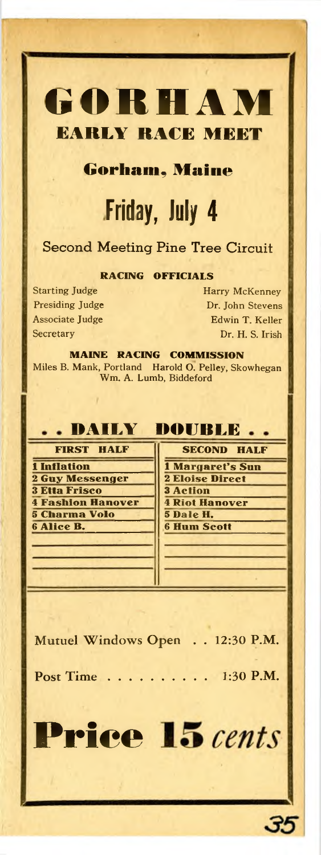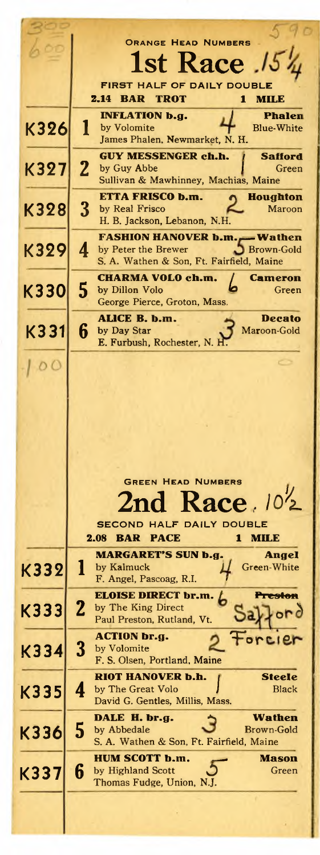|      | <b>ORANGE HEAD NUMBERS</b>                                                  |
|------|-----------------------------------------------------------------------------|
|      | st Race                                                                     |
|      | FIRST HALF OF DAILY DOUBLE                                                  |
|      | 2.14<br><b>BAR</b><br><b>TROT</b><br>1<br><b>MILE</b>                       |
|      | INFLATION b.g.<br><b>Phalen</b>                                             |
| K326 | by Volomite<br><b>Blue-White</b><br>James Phalen, Newmarket, N. H.          |
|      | <b>GUY MESSENGER ch.h.</b><br>Safford                                       |
| K327 | 2<br>by Guy Abbe<br>Green<br>Sullivan & Mawhinney, Machias, Maine           |
|      | ETTA FRISCO b.m.<br><b>Houghton</b>                                         |
| K328 | 3<br>by Real Frisco<br>Maroon                                               |
|      | H. B. Jackson, Lebanon, N.H.<br><b>FASHION HANOVER b.m.</b><br>– Wathen     |
| K329 | by Peter the Brewer<br><b>Brown-Gold</b><br>4                               |
|      | S. A. Wathen & Son, Ft. Fairfield, Maine                                    |
| K330 | CHARMA VOLO ch.m.<br><b>Cameron</b><br>5<br>by Dillon Volo<br>Green         |
|      | George Pierce, Groton, Mass.                                                |
| K331 | ALICE B. b.m.<br><b>Decato</b><br>6<br>by Day Star<br>Maroon-Gold           |
|      | E. Furbush, Rochester, N. H.                                                |
|      |                                                                             |
|      |                                                                             |
|      |                                                                             |
|      |                                                                             |
|      |                                                                             |
|      |                                                                             |
|      |                                                                             |
|      | <b>GREEN HEAD NUMBERS</b>                                                   |
|      | nd Race 102                                                                 |
|      | <b>SECOND HALF DAILY DOUBLE</b>                                             |
|      | <b>BAR</b><br><b>PACE</b><br>2.08<br>мил<br>1<br><b>MARGARET'S SUN b.g.</b> |
| K332 | Angel<br>1<br>Green-White<br>by Kalmuck                                     |
|      | F. Angel, Pascoag, R.I.                                                     |
| K333 | <b>ELOISE DIRECT br.m.</b><br><b>Preston</b><br>2<br>by The King Direct     |
|      | Paul Preston, Rutland, Vt.                                                  |
|      | <b>ACTION br.g.</b><br>or c.e.<br>3<br>by Volomite                          |
| K334 | F. S. Olsen, Portland, Maine                                                |
|      | RIOT HANOVER b.h.<br><b>Steele</b>                                          |
| K335 | 4<br>by The Great Volo<br>Black<br>David G. Gentles, Millis, Mass.          |
|      | Wathen<br>DALE H. br.g.                                                     |
| K336 | 5<br>by Abbedale<br>Brown-Gold<br>S. A. Wathen & Son, Ft. Fairfield, Maine  |
|      | HUM SCOTT b.m.<br>Mason                                                     |
| K337 | 6<br>by Highland Scott<br>Green                                             |
|      | Thomas Fudge, Union, N.J.                                                   |
|      |                                                                             |

I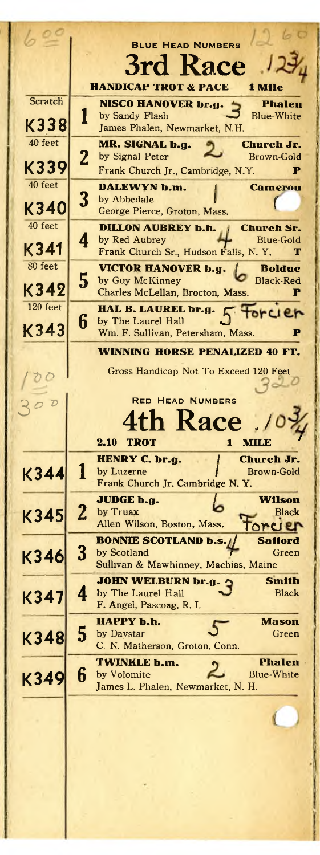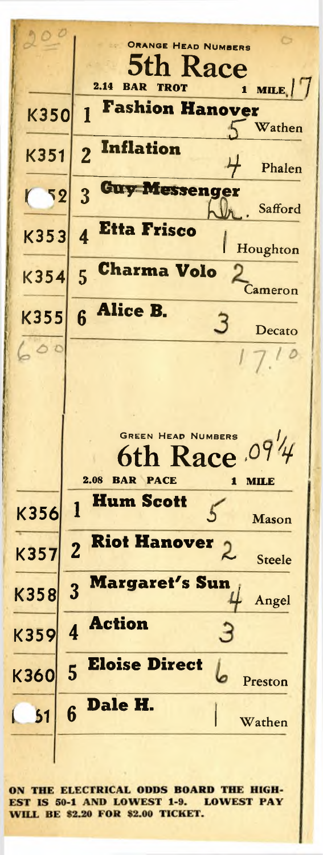

ON THE ELECTRICAL ODDS BOARD THE HIGH-EST IS 50-1 AND LOWEST 1-9. LOWEST PAY **WILL BE \$2.20 FOR \$2.00 TICKET.**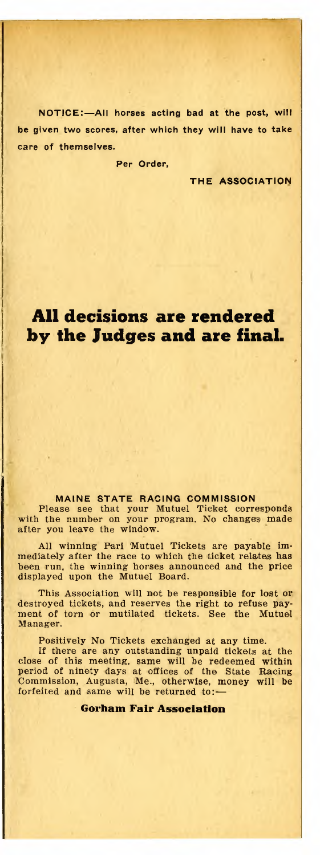NOTICE:—All horses acting bad at the post, will be given two scores, after which they will have to take care of themselves.

Per Order,

THE ASSOCIATION

## **All decisions are rendered by the Judges and are final.**

#### MAINE STATE RACING COMMISSION

Please see that your Mutuel Ticket corresponds with the number on your program. No changes made after you leave the window.

All winning Pari Mutuel Tickets are payable immediately after the race to which the ticket relates has been run, the winning horses announced and the price displayed upon the Mutuel Board.

This Association will not be responsible for lost or destroyed tickets, and reserves the right to refuse payment of torn or mutilated tickets. See the Mutuel Manager.

Positively No Tickets exchanged at any time.

If there are any outstanding unpaid tickets at the close of this meeting, same will be redeemed within period of ninety days at offices of the State Racing Commission, Augusta, Me., otherwise, money will be forfeited and same will be returned to:—

**Gorham Fair Association**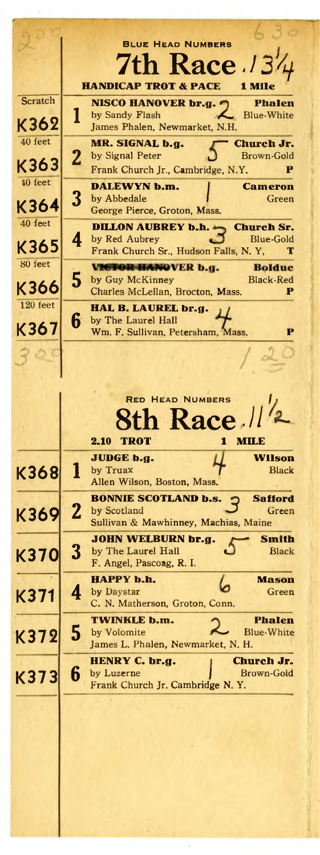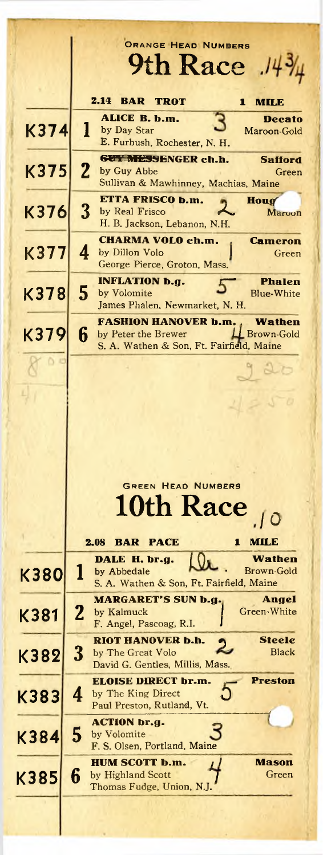|             |              | ORANGE HEAD NUMBERS<br>9th Race<br>14                                                                                         |
|-------------|--------------|-------------------------------------------------------------------------------------------------------------------------------|
|             |              |                                                                                                                               |
|             |              | 2.14<br><b>BAR</b><br>TROT<br>1<br>MILE<br>ALICE B. b.m.<br>Decato                                                            |
| <b>K374</b> |              | 1<br>by Day Star<br>Maroon-Gold<br>E. Furbush, Rochester, N. H.                                                               |
| K375        | $\mathbf{2}$ | GUT MESSENGER ch.h.<br><b>Safford</b><br>by Guy Abbe<br>Green<br>Sullivan & Mawhinney, Machias, Maine                         |
| K376        | 3            | ETTA FRISCO b.m.<br>Houg<br>by Real Frisco<br>Maroon<br>H. B. Jackson, Lebanon, N.H.                                          |
| K377        | 4            | <b>CHARMA VOLO ch.m.</b><br><b>Cameron</b><br>by Dillon Volo<br>Green<br>George Pierce, Groton, Mass.                         |
| K378        | 5            | <b>INFLATION b.g.</b><br><b>Phalen</b><br>by Volomite<br><b>Blue-White</b><br>James Phalen, Newmarket, N. H.                  |
| K379        | 6            | <b>FASHION HANOVER b.m.</b><br>Wathen<br><b>Brown-Gold</b><br>by Peter the Brewer<br>S. A. Wathen & Son, Ft. Fairfield, Maine |
|             |              |                                                                                                                               |
|             |              |                                                                                                                               |
|             |              |                                                                                                                               |
|             |              |                                                                                                                               |
|             |              | <b>GREEN HEAD NUMBERS</b>                                                                                                     |
|             |              | 10th Race                                                                                                                     |
|             |              | 2.08<br><b>BAR</b><br><b>PACE</b><br>мпла<br>1                                                                                |
| <b>K380</b> | 1            | DALE H. br.g.<br>Wathen<br><b>Brown-Gold</b><br>by Abbedale                                                                   |
|             |              | S. A. Wathen & Son, Ft. Fairfield, Maine<br><b>MARGARET'S SUN b.g.</b><br>Angel                                               |
| K381        | 2            | Green-White<br>by Kalmuck<br>F. Angel, Pascoag, R.I.                                                                          |
| K382        | 3            | RIOT HANOVER b.h.<br>Steele<br>Black<br>by The Great Volo<br>David G. Gentles, Millis, Mass.                                  |
| K383        | 4            | <b>ELOISE DIRECT br.m.</b><br><b>Preston</b><br>by The King Direct<br>Paul Preston, Rutland, Vt.                              |
| K384        | 5            | ACTION br.g.<br>by Volomite<br>F. S. Olsen, Portland, Maine                                                                   |
| K385        | 6            | <b>HUM SCOTT b.m.</b><br>Mason<br>by Highland Scott<br>Green<br>Thomas Fudge, Union, N.J.                                     |
|             |              |                                                                                                                               |